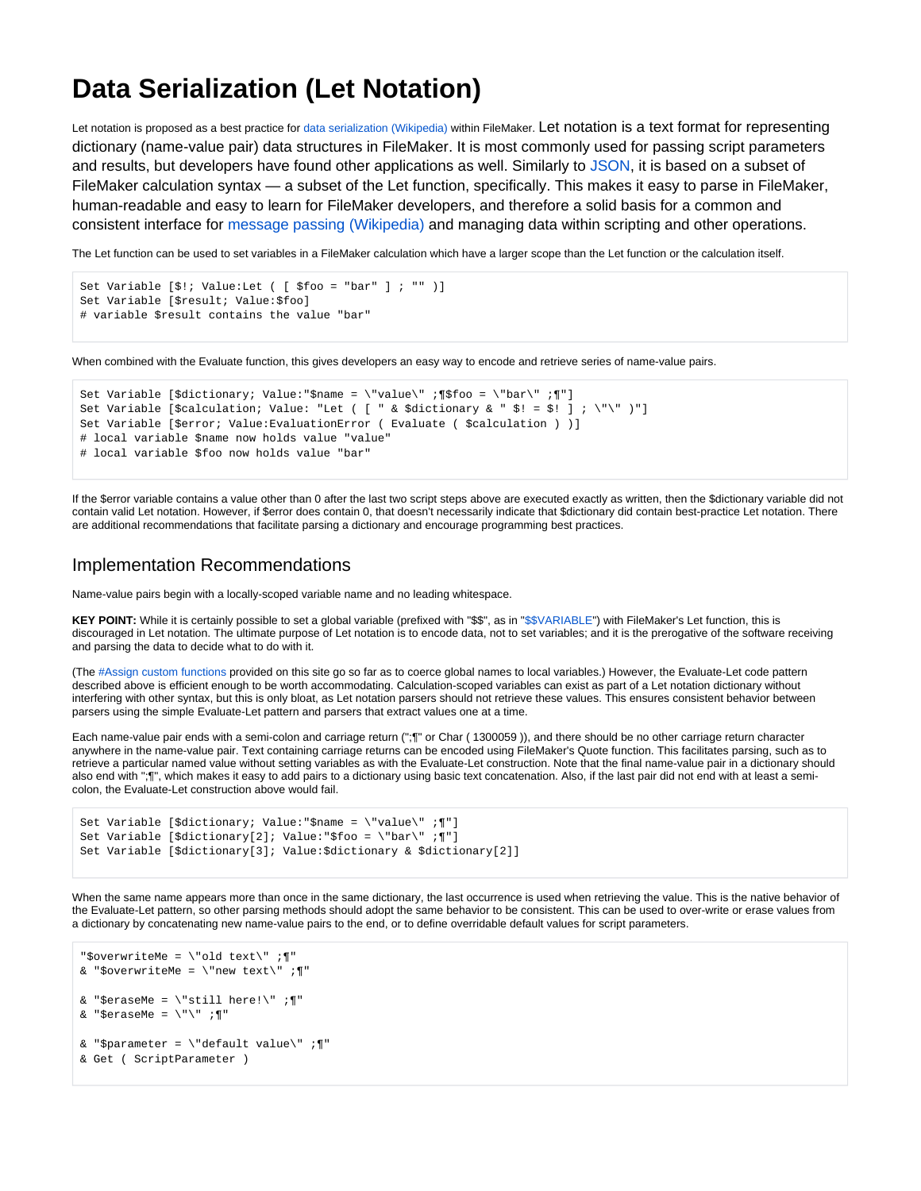## **Data Serialization (Let Notation)**

Let notation is proposed as a best practice for [data serialization \(Wikipedia\)](http://en.wikipedia.org/wiki/Data_serialization) within FileMaker. Let notation is a text format for representing dictionary (name-value pair) data structures in FileMaker. It is most commonly used for passing script parameters and results, but developers have found other applications as well. Similarly to [JSON](http://www.json.org/), it is based on a subset of FileMaker calculation syntax — a subset of the Let function, specifically. This makes it easy to parse in FileMaker, human-readable and easy to learn for FileMaker developers, and therefore a solid basis for a common and consistent interface for [message passing \(Wikipedia\)](http://en.wikipedia.org/wiki/Message_passing) and managing data within scripting and other operations.

The Let function can be used to set variables in a FileMaker calculation which have a larger scope than the Let function or the calculation itself.

```
Set Variable [$!; Value:Let ( [ $foo = "bar" ] ; "" )]
Set Variable [$result; Value:$foo]
# variable $result contains the value "bar"
```
When combined with the Evaluate function, this gives developers an easy way to encode and retrieve series of name-value pairs.

```
Set Variable [$dictionary; Value:"$name = \"value\" ;¶$foo = \"bar\" ;¶"]
Set Variable [$calculation; Value: "Let ( [ " & $dictionary & " $! = $! ]; \"\" )"]
Set Variable [$error; Value:EvaluationError ( Evaluate ( $calculation ) )]
# local variable $name now holds value "value"
# local variable $foo now holds value "bar"
```
If the \$error variable contains a value other than 0 after the last two script steps above are executed exactly as written, then the \$dictionary variable did not contain valid Let notation. However, if \$error does contain 0, that doesn't necessarily indicate that \$dictionary did contain best-practice Let notation. There are additional recommendations that facilitate parsing a dictionary and encourage programming best practices.

## Implementation Recommendations

Name-value pairs begin with a locally-scoped variable name and no leading whitespace.

**KEY POINT:** While it is certainly possible to set a global variable (prefixed with "\$\$", as in ["\\$\\$VARIABLE](https://filemakerstandards.org/display/cs/Variable+naming)") with FileMaker's Let function, this is discouraged in Let notation. The ultimate purpose of Let notation is to encode data, not to set variables; and it is the prerogative of the software receiving and parsing the data to decide what to do with it.

(The [#Assign custom functions](https://filemakerstandards.org/pages/viewpage.action?pageId=557462) provided on this site go so far as to coerce global names to local variables.) However, the Evaluate-Let code pattern described above is efficient enough to be worth accommodating. Calculation-scoped variables can exist as part of a Let notation dictionary without interfering with other syntax, but this is only bloat, as Let notation parsers should not retrieve these values. This ensures consistent behavior between parsers using the simple Evaluate-Let pattern and parsers that extract values one at a time.

Each name-value pair ends with a semi-colon and carriage return (";¶" or Char ( 1300059 )), and there should be no other carriage return character anywhere in the name-value pair. Text containing carriage returns can be encoded using FileMaker's Quote function. This facilitates parsing, such as to retrieve a particular named value without setting variables as with the Evaluate-Let construction. Note that the final name-value pair in a dictionary should also end with ";¶", which makes it easy to add pairs to a dictionary using basic text concatenation. Also, if the last pair did not end with at least a semicolon, the Evaluate-Let construction above would fail.

```
Set Variable [$dictionary; Value:"$name = \"value\" ;¶"]
Set Variable [$dictionary[2]; Value:"$foo = \"bar\" ;¶"]
Set Variable [$dictionary[3]; Value:$dictionary & $dictionary[2]]
```
When the same name appears more than once in the same dictionary, the last occurrence is used when retrieving the value. This is the native behavior of the Evaluate-Let pattern, so other parsing methods should adopt the same behavior to be consistent. This can be used to over-write or erase values from a dictionary by concatenating new name-value pairs to the end, or to define overridable default values for script parameters.

```
"$overwriteMe = \"old text\" ;¶"
& "$overwriteMe = \forall new text\forall ; ["
& "$eraseMe = \left\langle \cdot \right\rangle"still here!\left\langle \cdot \right\rangle"
& "$eraseMe = \langle"\langle" ;¶"
& "$parameter = \left\{ \text{default value} \right\}"
& Get ( ScriptParameter )
```